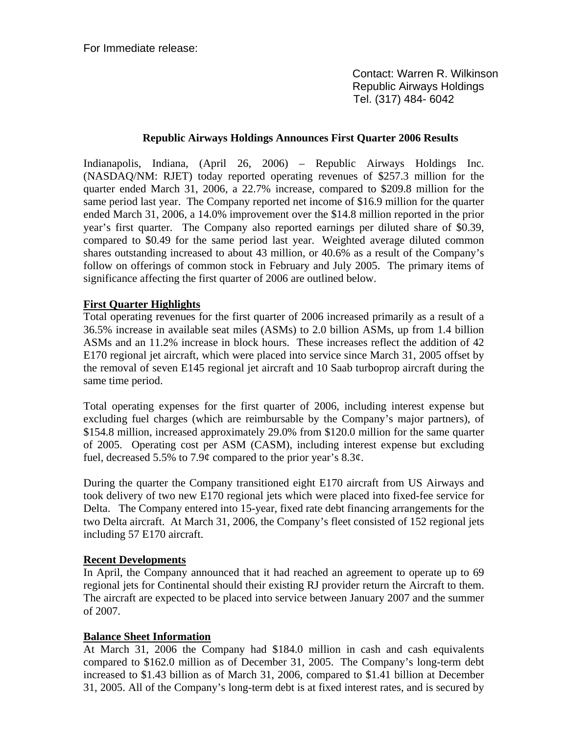For Immediate release:

 Contact: Warren R. Wilkinson Republic Airways Holdings Tel. (317) 484- 6042

### **Republic Airways Holdings Announces First Quarter 2006 Results**

Indianapolis, Indiana, (April 26, 2006) – Republic Airways Holdings Inc. (NASDAQ/NM: RJET) today reported operating revenues of \$257.3 million for the quarter ended March 31, 2006, a 22.7% increase, compared to \$209.8 million for the same period last year. The Company reported net income of \$16.9 million for the quarter ended March 31, 2006, a 14.0% improvement over the \$14.8 million reported in the prior year's first quarter. The Company also reported earnings per diluted share of \$0.39, compared to \$0.49 for the same period last year. Weighted average diluted common shares outstanding increased to about 43 million, or 40.6% as a result of the Company's follow on offerings of common stock in February and July 2005. The primary items of significance affecting the first quarter of 2006 are outlined below.

### **First Quarter Highlights**

Total operating revenues for the first quarter of 2006 increased primarily as a result of a 36.5% increase in available seat miles (ASMs) to 2.0 billion ASMs, up from 1.4 billion ASMs and an 11.2% increase in block hours. These increases reflect the addition of 42 E170 regional jet aircraft, which were placed into service since March 31, 2005 offset by the removal of seven E145 regional jet aircraft and 10 Saab turboprop aircraft during the same time period.

Total operating expenses for the first quarter of 2006, including interest expense but excluding fuel charges (which are reimbursable by the Company's major partners), of \$154.8 million, increased approximately 29.0% from \$120.0 million for the same quarter of 2005. Operating cost per ASM (CASM), including interest expense but excluding fuel, decreased 5.5% to 7.9¢ compared to the prior year's  $8.3¢$ .

During the quarter the Company transitioned eight E170 aircraft from US Airways and took delivery of two new E170 regional jets which were placed into fixed-fee service for Delta. The Company entered into 15-year, fixed rate debt financing arrangements for the two Delta aircraft. At March 31, 2006, the Company's fleet consisted of 152 regional jets including 57 E170 aircraft.

### **Recent Developments**

In April, the Company announced that it had reached an agreement to operate up to 69 regional jets for Continental should their existing RJ provider return the Aircraft to them. The aircraft are expected to be placed into service between January 2007 and the summer of 2007.

### **Balance Sheet Information**

At March 31, 2006 the Company had \$184.0 million in cash and cash equivalents compared to \$162.0 million as of December 31, 2005. The Company's long-term debt increased to \$1.43 billion as of March 31, 2006, compared to \$1.41 billion at December 31, 2005. All of the Company's long-term debt is at fixed interest rates, and is secured by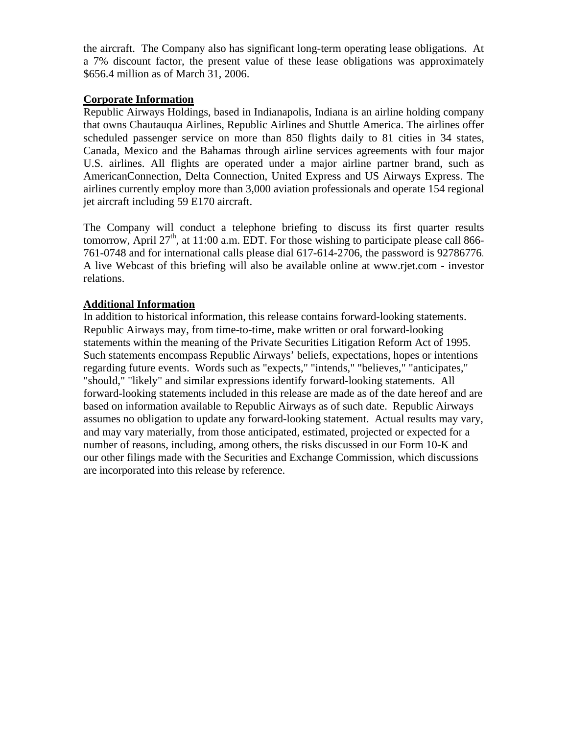the aircraft. The Company also has significant long-term operating lease obligations. At a 7% discount factor, the present value of these lease obligations was approximately \$656.4 million as of March 31, 2006.

# **Corporate Information**

Republic Airways Holdings, based in Indianapolis, Indiana is an airline holding company that owns Chautauqua Airlines, Republic Airlines and Shuttle America. The airlines offer scheduled passenger service on more than 850 flights daily to 81 cities in 34 states, Canada, Mexico and the Bahamas through airline services agreements with four major U.S. airlines. All flights are operated under a major airline partner brand, such as AmericanConnection, Delta Connection, United Express and US Airways Express. The airlines currently employ more than 3,000 aviation professionals and operate 154 regional jet aircraft including 59 E170 aircraft.

The Company will conduct a telephone briefing to discuss its first quarter results tomorrow, April  $27<sup>th</sup>$ , at 11:00 a.m. EDT. For those wishing to participate please call 866-761-0748 and for international calls please dial 617-614-2706, the password is 92786776. A live Webcast of this briefing will also be available online at www.rjet.com - investor relations.

## **Additional Information**

In addition to historical information, this release contains forward-looking statements. Republic Airways may, from time-to-time, make written or oral forward-looking statements within the meaning of the Private Securities Litigation Reform Act of 1995. Such statements encompass Republic Airways' beliefs, expectations, hopes or intentions regarding future events. Words such as "expects," "intends," "believes," "anticipates," "should," "likely" and similar expressions identify forward-looking statements. All forward-looking statements included in this release are made as of the date hereof and are based on information available to Republic Airways as of such date. Republic Airways assumes no obligation to update any forward-looking statement. Actual results may vary, and may vary materially, from those anticipated, estimated, projected or expected for a number of reasons, including, among others, the risks discussed in our Form 10-K and our other filings made with the Securities and Exchange Commission, which discussions are incorporated into this release by reference.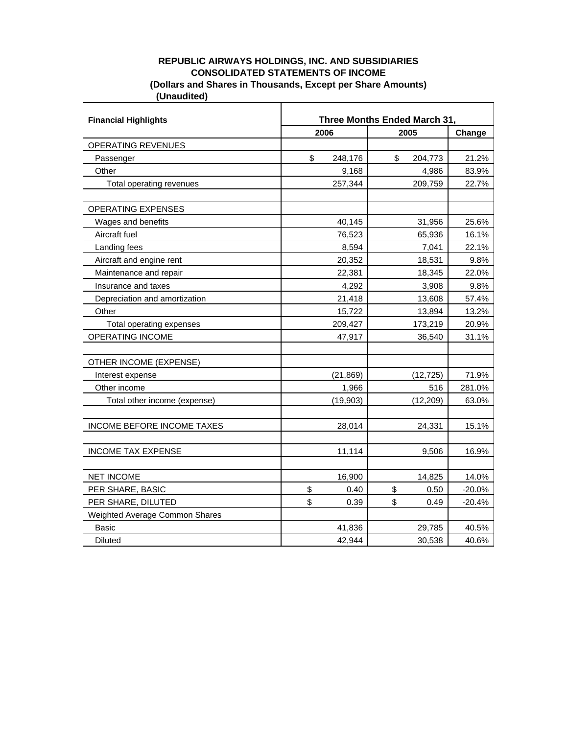#### **REPUBLIC AIRWAYS HOLDINGS, INC. AND SUBSIDIARIES CONSOLIDATED STATEMENTS OF INCOME (Dollars and Shares in Thousands, Except per Share Amounts) (Unaudited)**

| <b>Financial Highlights</b>    | Three Months Ended March 31, |               |           |
|--------------------------------|------------------------------|---------------|-----------|
|                                | 2006                         | 2005          | Change    |
| <b>OPERATING REVENUES</b>      |                              |               |           |
| Passenger                      | \$<br>248,176                | \$<br>204,773 | 21.2%     |
| Other                          | 9,168                        | 4,986         | 83.9%     |
| Total operating revenues       | 257,344                      | 209,759       | 22.7%     |
|                                |                              |               |           |
| <b>OPERATING EXPENSES</b>      |                              |               |           |
| Wages and benefits             | 40,145                       | 31,956        | 25.6%     |
| Aircraft fuel                  | 76,523                       | 65,936        | 16.1%     |
| Landing fees                   | 8,594                        | 7,041         | 22.1%     |
| Aircraft and engine rent       | 20,352                       | 18,531        | 9.8%      |
| Maintenance and repair         | 22,381                       | 18,345        | 22.0%     |
| Insurance and taxes            | 4,292                        | 3,908         | 9.8%      |
| Depreciation and amortization  | 21,418                       | 13,608        | 57.4%     |
| Other                          | 15,722                       | 13,894        | 13.2%     |
| Total operating expenses       | 209,427                      | 173,219       | 20.9%     |
| OPERATING INCOME               | 47,917                       | 36,540        | 31.1%     |
|                                |                              |               |           |
| OTHER INCOME (EXPENSE)         |                              |               |           |
| Interest expense               | (21, 869)                    | (12, 725)     | 71.9%     |
| Other income                   | 1,966                        | 516           | 281.0%    |
| Total other income (expense)   | (19,903)                     | (12, 209)     | 63.0%     |
|                                |                              |               |           |
| INCOME BEFORE INCOME TAXES     | 28,014                       | 24,331        | 15.1%     |
|                                |                              |               |           |
| <b>INCOME TAX EXPENSE</b>      | 11,114                       | 9,506         | 16.9%     |
| <b>NET INCOME</b>              | 16,900                       | 14,825        | 14.0%     |
| PER SHARE, BASIC               | \$<br>0.40                   | \$<br>0.50    | $-20.0\%$ |
| PER SHARE, DILUTED             | \$<br>0.39                   | \$<br>0.49    | $-20.4%$  |
| Weighted Average Common Shares |                              |               |           |
| <b>Basic</b>                   | 41,836                       | 29,785        | 40.5%     |
| <b>Diluted</b>                 | 42,944                       | 30,538        | 40.6%     |